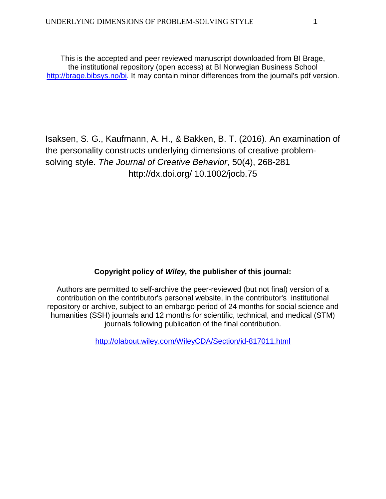This is the accepted and peer reviewed manuscript downloaded from BI Brage, the institutional repository (open access) at BI Norwegian Business School [http://brage.bibsys.no/bi.](http://brage.bibsys.no/bi) It may contain minor differences from the journal's pdf version.

Isaksen, S. G., Kaufmann, A. H., & Bakken, B. T. (2016). An examination of the personality constructs underlying dimensions of creative problemsolving style. *The Journal of Creative Behavior*, 50(4), 268-281 http://dx.doi.org/ 10.1002/jocb.75

# **Copyright policy of** *Wiley,* **the publisher of this journal:**

Authors are permitted to self-archive the peer-reviewed (but not final) version of a contribution on the contributor's personal website, in the contributor's institutional repository or archive, subject to an embargo period of 24 months for social science and humanities (SSH) journals and 12 months for scientific, technical, and medical (STM) journals following publication of the final contribution.

<http://olabout.wiley.com/WileyCDA/Section/id-817011.html>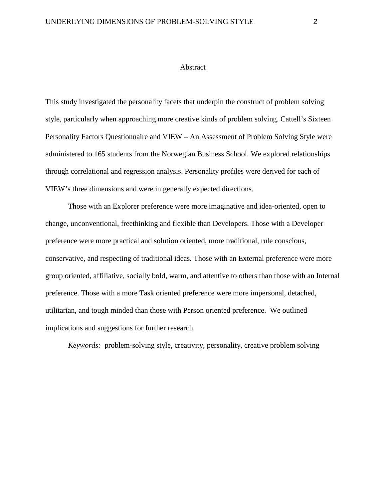### Abstract

This study investigated the personality facets that underpin the construct of problem solving style, particularly when approaching more creative kinds of problem solving. Cattell's Sixteen Personality Factors Questionnaire and VIEW – An Assessment of Problem Solving Style were administered to 165 students from the Norwegian Business School. We explored relationships through correlational and regression analysis. Personality profiles were derived for each of VIEW's three dimensions and were in generally expected directions.

Those with an Explorer preference were more imaginative and idea-oriented, open to change, unconventional, freethinking and flexible than Developers. Those with a Developer preference were more practical and solution oriented, more traditional, rule conscious, conservative, and respecting of traditional ideas. Those with an External preference were more group oriented, affiliative, socially bold, warm, and attentive to others than those with an Internal preference. Those with a more Task oriented preference were more impersonal, detached, utilitarian, and tough minded than those with Person oriented preference. We outlined implications and suggestions for further research.

*Keywords:* problem-solving style, creativity, personality, creative problem solving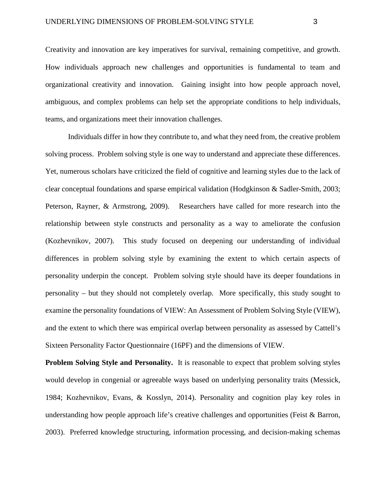Creativity and innovation are key imperatives for survival, remaining competitive, and growth. How individuals approach new challenges and opportunities is fundamental to team and organizational creativity and innovation. Gaining insight into how people approach novel, ambiguous, and complex problems can help set the appropriate conditions to help individuals, teams, and organizations meet their innovation challenges.

Individuals differ in how they contribute to, and what they need from, the creative problem solving process. Problem solving style is one way to understand and appreciate these differences. Yet, numerous scholars have criticized the field of cognitive and learning styles due to the lack of clear conceptual foundations and sparse empirical validation (Hodgkinson & Sadler-Smith, 2003; Peterson, Rayner, & Armstrong, 2009). Researchers have called for more research into the relationship between style constructs and personality as a way to ameliorate the confusion (Kozhevnikov, 2007). This study focused on deepening our understanding of individual differences in problem solving style by examining the extent to which certain aspects of personality underpin the concept. Problem solving style should have its deeper foundations in personality – but they should not completely overlap. More specifically, this study sought to examine the personality foundations of VIEW: An Assessment of Problem Solving Style (VIEW), and the extent to which there was empirical overlap between personality as assessed by Cattell's Sixteen Personality Factor Questionnaire (16PF) and the dimensions of VIEW.

**Problem Solving Style and Personality.** It is reasonable to expect that problem solving styles would develop in congenial or agreeable ways based on underlying personality traits (Messick, 1984; Kozhevnikov, Evans, & Kosslyn, 2014). Personality and cognition play key roles in understanding how people approach life's creative challenges and opportunities (Feist & Barron, 2003). Preferred knowledge structuring, information processing, and decision-making schemas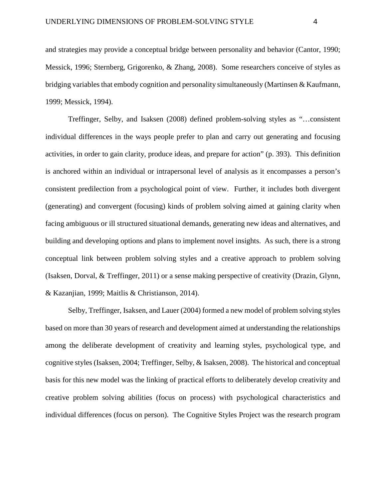and strategies may provide a conceptual bridge between personality and behavior (Cantor, 1990; Messick, 1996; Sternberg, Grigorenko, & Zhang, 2008). Some researchers conceive of styles as bridging variables that embody cognition and personality simultaneously (Martinsen & Kaufmann, 1999; Messick, 1994).

Treffinger, Selby, and Isaksen (2008) defined problem-solving styles as "…consistent individual differences in the ways people prefer to plan and carry out generating and focusing activities, in order to gain clarity, produce ideas, and prepare for action" (p. 393). This definition is anchored within an individual or intrapersonal level of analysis as it encompasses a person's consistent predilection from a psychological point of view. Further, it includes both divergent (generating) and convergent (focusing) kinds of problem solving aimed at gaining clarity when facing ambiguous or ill structured situational demands, generating new ideas and alternatives, and building and developing options and plans to implement novel insights. As such, there is a strong conceptual link between problem solving styles and a creative approach to problem solving (Isaksen, Dorval, & Treffinger, 2011) or a sense making perspective of creativity (Drazin, Glynn, & Kazanjian, 1999; Maitlis & Christianson, 2014).

Selby, Treffinger, Isaksen, and Lauer (2004) formed a new model of problem solving styles based on more than 30 years of research and development aimed at understanding the relationships among the deliberate development of creativity and learning styles, psychological type, and cognitive styles (Isaksen, 2004; Treffinger, Selby, & Isaksen, 2008). The historical and conceptual basis for this new model was the linking of practical efforts to deliberately develop creativity and creative problem solving abilities (focus on process) with psychological characteristics and individual differences (focus on person). The Cognitive Styles Project was the research program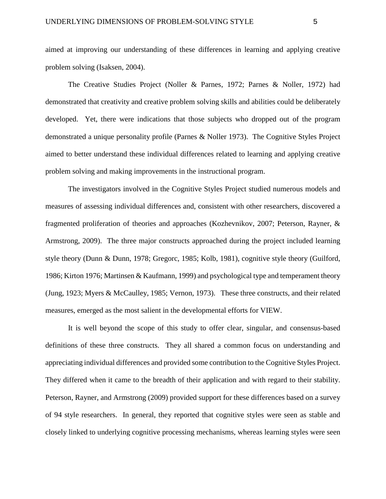aimed at improving our understanding of these differences in learning and applying creative problem solving (Isaksen, 2004).

The Creative Studies Project (Noller & Parnes, 1972; Parnes & Noller, 1972) had demonstrated that creativity and creative problem solving skills and abilities could be deliberately developed. Yet, there were indications that those subjects who dropped out of the program demonstrated a unique personality profile (Parnes & Noller 1973). The Cognitive Styles Project aimed to better understand these individual differences related to learning and applying creative problem solving and making improvements in the instructional program.

The investigators involved in the Cognitive Styles Project studied numerous models and measures of assessing individual differences and, consistent with other researchers, discovered a fragmented proliferation of theories and approaches (Kozhevnikov, 2007; Peterson, Rayner, & Armstrong, 2009). The three major constructs approached during the project included learning style theory (Dunn & Dunn, 1978; Gregorc, 1985; Kolb, 1981), cognitive style theory (Guilford, 1986; Kirton 1976; Martinsen & Kaufmann, 1999) and psychological type and temperament theory (Jung, 1923; Myers & McCaulley, 1985; Vernon, 1973). These three constructs, and their related measures, emerged as the most salient in the developmental efforts for VIEW.

It is well beyond the scope of this study to offer clear, singular, and consensus-based definitions of these three constructs. They all shared a common focus on understanding and appreciating individual differences and provided some contribution to the Cognitive Styles Project. They differed when it came to the breadth of their application and with regard to their stability. Peterson, Rayner, and Armstrong (2009) provided support for these differences based on a survey of 94 style researchers. In general, they reported that cognitive styles were seen as stable and closely linked to underlying cognitive processing mechanisms, whereas learning styles were seen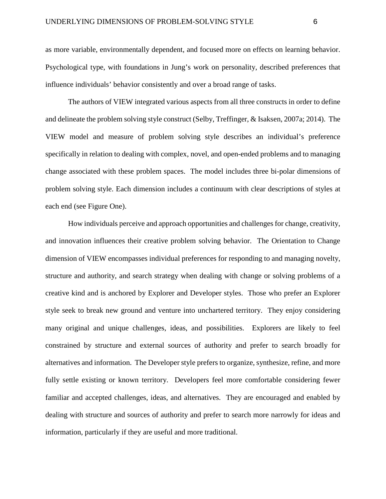as more variable, environmentally dependent, and focused more on effects on learning behavior. Psychological type, with foundations in Jung's work on personality, described preferences that influence individuals' behavior consistently and over a broad range of tasks.

The authors of VIEW integrated various aspects from all three constructs in order to define and delineate the problem solving style construct (Selby, Treffinger, & Isaksen, 2007a; 2014). The VIEW model and measure of problem solving style describes an individual's preference specifically in relation to dealing with complex, novel, and open-ended problems and to managing change associated with these problem spaces. The model includes three bi-polar dimensions of problem solving style. Each dimension includes a continuum with clear descriptions of styles at each end (see Figure One).

How individuals perceive and approach opportunities and challenges for change, creativity, and innovation influences their creative problem solving behavior. The Orientation to Change dimension of VIEW encompasses individual preferences for responding to and managing novelty, structure and authority, and search strategy when dealing with change or solving problems of a creative kind and is anchored by Explorer and Developer styles. Those who prefer an Explorer style seek to break new ground and venture into unchartered territory. They enjoy considering many original and unique challenges, ideas, and possibilities. Explorers are likely to feel constrained by structure and external sources of authority and prefer to search broadly for alternatives and information. The Developer style prefers to organize, synthesize, refine, and more fully settle existing or known territory. Developers feel more comfortable considering fewer familiar and accepted challenges, ideas, and alternatives. They are encouraged and enabled by dealing with structure and sources of authority and prefer to search more narrowly for ideas and information, particularly if they are useful and more traditional.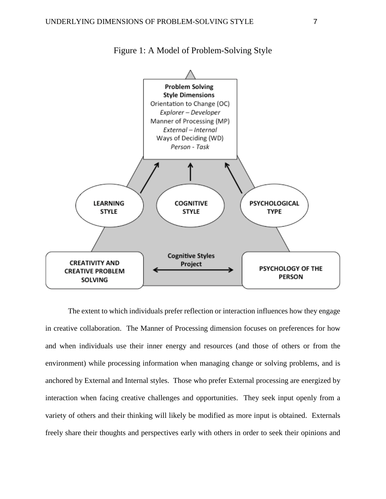

Figure 1: A Model of Problem-Solving Style

The extent to which individuals prefer reflection or interaction influences how they engage in creative collaboration. The Manner of Processing dimension focuses on preferences for how and when individuals use their inner energy and resources (and those of others or from the environment) while processing information when managing change or solving problems, and is anchored by External and Internal styles. Those who prefer External processing are energized by interaction when facing creative challenges and opportunities. They seek input openly from a variety of others and their thinking will likely be modified as more input is obtained. Externals freely share their thoughts and perspectives early with others in order to seek their opinions and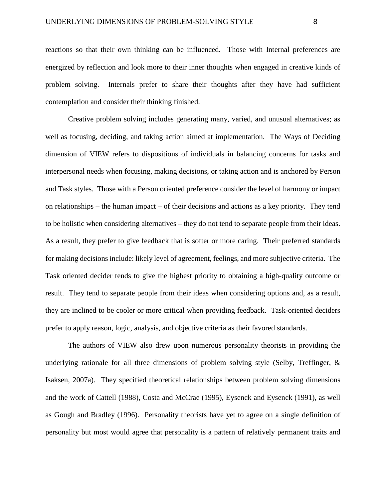reactions so that their own thinking can be influenced. Those with Internal preferences are energized by reflection and look more to their inner thoughts when engaged in creative kinds of problem solving. Internals prefer to share their thoughts after they have had sufficient contemplation and consider their thinking finished.

Creative problem solving includes generating many, varied, and unusual alternatives; as well as focusing, deciding, and taking action aimed at implementation. The Ways of Deciding dimension of VIEW refers to dispositions of individuals in balancing concerns for tasks and interpersonal needs when focusing, making decisions, or taking action and is anchored by Person and Task styles. Those with a Person oriented preference consider the level of harmony or impact on relationships – the human impact – of their decisions and actions as a key priority. They tend to be holistic when considering alternatives – they do not tend to separate people from their ideas. As a result, they prefer to give feedback that is softer or more caring. Their preferred standards for making decisions include: likely level of agreement, feelings, and more subjective criteria. The Task oriented decider tends to give the highest priority to obtaining a high-quality outcome or result. They tend to separate people from their ideas when considering options and, as a result, they are inclined to be cooler or more critical when providing feedback. Task-oriented deciders prefer to apply reason, logic, analysis, and objective criteria as their favored standards.

The authors of VIEW also drew upon numerous personality theorists in providing the underlying rationale for all three dimensions of problem solving style (Selby, Treffinger, & Isaksen, 2007a). They specified theoretical relationships between problem solving dimensions and the work of Cattell (1988), Costa and McCrae (1995), Eysenck and Eysenck (1991), as well as Gough and Bradley (1996). Personality theorists have yet to agree on a single definition of personality but most would agree that personality is a pattern of relatively permanent traits and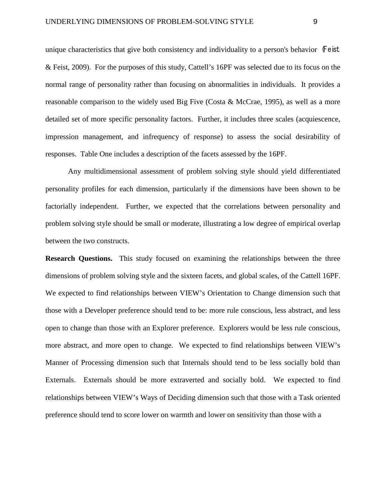unique characteristics that give both consistency and individuality to a person's behavior  $\mathbf{F}$  eist & Feist, 2009). For the purposes of this study, Cattell's 16PF was selected due to its focus on the normal range of personality rather than focusing on abnormalities in individuals. It provides a reasonable comparison to the widely used Big Five (Costa & McCrae, 1995), as well as a more detailed set of more specific personality factors. Further, it includes three scales (acquiescence, impression management, and infrequency of response) to assess the social desirability of responses. Table One includes a description of the facets assessed by the 16PF.

Any multidimensional assessment of problem solving style should yield differentiated personality profiles for each dimension, particularly if the dimensions have been shown to be factorially independent. Further, we expected that the correlations between personality and problem solving style should be small or moderate, illustrating a low degree of empirical overlap between the two constructs.

**Research Questions.** This study focused on examining the relationships between the three dimensions of problem solving style and the sixteen facets, and global scales, of the Cattell 16PF. We expected to find relationships between VIEW's Orientation to Change dimension such that those with a Developer preference should tend to be: more rule conscious, less abstract, and less open to change than those with an Explorer preference. Explorers would be less rule conscious, more abstract, and more open to change. We expected to find relationships between VIEW's Manner of Processing dimension such that Internals should tend to be less socially bold than Externals. Externals should be more extraverted and socially bold.We expected to find relationships between VIEW's Ways of Deciding dimension such that those with a Task oriented preference should tend to score lower on warmth and lower on sensitivity than those with a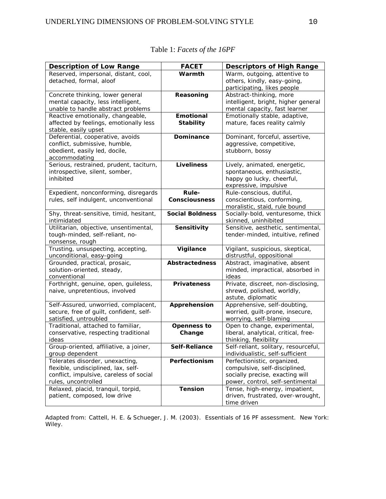| <b>Description of Low Range</b>                                                | <b>FACET</b>           | <b>Descriptors of High Range</b>                                 |
|--------------------------------------------------------------------------------|------------------------|------------------------------------------------------------------|
| Reserved, impersonal, distant, cool,                                           | Warmth                 | Warm, outgoing, attentive to                                     |
| detached, formal, aloof                                                        |                        | others, kindly, easy-going,                                      |
|                                                                                |                        | participating, likes people                                      |
| Concrete thinking, lower general                                               | Reasoning              | Abstract-thinking, more                                          |
| mental capacity, less intelligent,                                             |                        | intelligent, bright, higher general                              |
| unable to handle abstract problems                                             |                        | mental capacity, fast learner                                    |
| Reactive emotionally, changeable,                                              | <b>Emotional</b>       | Emotionally stable, adaptive,                                    |
| affected by feelings, emotionally less                                         | <b>Stability</b>       | mature, faces reality calmly                                     |
| stable, easily upset<br>Deferential, cooperative, avoids                       | <b>Dominance</b>       | Dominant, forceful, assertive,                                   |
| conflict, submissive, humble,                                                  |                        | aggressive, competitive,                                         |
| obedient, easily led, docile,                                                  |                        | stubborn, bossy                                                  |
| accommodating                                                                  |                        |                                                                  |
| Serious, restrained, prudent, taciturn,                                        | <b>Liveliness</b>      | Lively, animated, energetic,                                     |
| introspective, silent, somber,                                                 |                        | spontaneous, enthusiastic,                                       |
| inhibited                                                                      |                        | happy go lucky, cheerful,                                        |
|                                                                                |                        | expressive, impulsive                                            |
| Expedient, nonconforming, disregards                                           | <b>Rule-</b>           | Rule-conscious, dutiful,                                         |
| rules, self indulgent, unconventional                                          | <b>Consciousness</b>   | conscientious, conforming,                                       |
|                                                                                |                        | moralistic, staid, rule bound                                    |
| Shy, threat-sensitive, timid, hesitant,                                        | <b>Social Boldness</b> | Socially-bold, venturesome, thick                                |
| intimidated                                                                    |                        | skinned, uninhibited                                             |
| Utilitarian, objective, unsentimental,                                         | Sensitivity            | Sensitive, aesthetic, sentimental,                               |
| tough-minded, self-reliant, no-                                                |                        | tender-minded, intuitive, refined                                |
| nonsense, rough                                                                |                        |                                                                  |
| Trusting, unsuspecting, accepting,                                             | Vigilance              | Vigilant, suspicious, skeptical,                                 |
| unconditional, easy-going<br>Grounded, practical, prosaic,                     | <b>Abstractedness</b>  | distrustful, oppositional<br>Abstract, imaginative, absent       |
| solution-oriented, steady,                                                     |                        | minded, impractical, absorbed in                                 |
| conventional                                                                   |                        | ideas                                                            |
| Forthright, genuine, open, guileless,                                          | <b>Privateness</b>     | Private, discreet, non-disclosing,                               |
| naive, unpretentious, involved                                                 |                        | shrewd, polished, worldly,                                       |
|                                                                                |                        | astute, diplomatic                                               |
| Self-Assured, unworried, complacent,                                           | Apprehension           | Apprehensive, self-doubting,                                     |
| secure, free of guilt, confident, self-                                        |                        | worried, guilt-prone, insecure,                                  |
| satisfied, untroubled                                                          |                        | worrying, self-blaming                                           |
| Traditional, attached to familiar,                                             | <b>Openness to</b>     | Open to change, experimental,                                    |
| conservative, respecting traditional                                           | Change                 | liberal, analytical, critical, free-                             |
| ideas                                                                          |                        | thinking, flexibility                                            |
| Group-oriented, affiliative, a joiner,                                         | Self-Reliance          | Self-reliant, solitary, resourceful,                             |
| group dependent                                                                |                        | individualistic, self-sufficient                                 |
| Tolerates disorder, unexacting,                                                | Perfectionism          | Perfectionistic, organized,                                      |
| flexible, undisciplined, lax, self-<br>conflict, impulsive, careless of social |                        | compulsive, self-disciplined,<br>socially precise, exacting will |
| rules, uncontrolled                                                            |                        | power, control, self-sentimental                                 |
| Relaxed, placid, tranquil, torpid,                                             | <b>Tension</b>         | Tense, high-energy, impatient,                                   |
| patient, composed, low drive                                                   |                        | driven, frustrated, over-wrought,                                |
|                                                                                |                        | time driven                                                      |

Table 1: *Facets of the 16PF*

Adapted from: Cattell, H. E. & Schueger, J. M. (2003). *Essentials of 16 PF assessment.* New York: Wiley.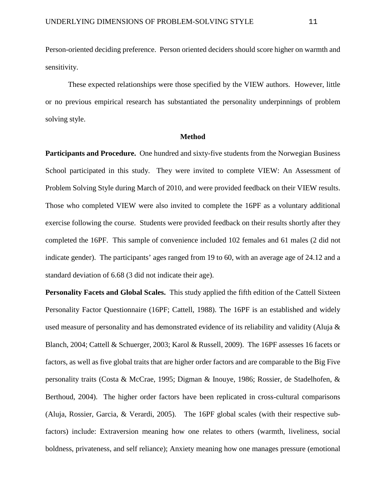Person-oriented deciding preference. Person oriented deciders should score higher on warmth and sensitivity.

These expected relationships were those specified by the VIEW authors. However, little or no previous empirical research has substantiated the personality underpinnings of problem solving style.

#### **Method**

**Participants and Procedure.** One hundred and sixty-five students from the Norwegian Business School participated in this study. They were invited to complete VIEW: An Assessment of Problem Solving Style during March of 2010, and were provided feedback on their VIEW results. Those who completed VIEW were also invited to complete the 16PF as a voluntary additional exercise following the course. Students were provided feedback on their results shortly after they completed the 16PF. This sample of convenience included 102 females and 61 males (2 did not indicate gender). The participants' ages ranged from 19 to 60, with an average age of 24.12 and a standard deviation of 6.68 (3 did not indicate their age).

**Personality Facets and Global Scales.** This study applied the fifth edition of the Cattell Sixteen Personality Factor Questionnaire (16PF; Cattell, 1988). The 16PF is an established and widely used measure of personality and has demonstrated evidence of its reliability and validity (Aluja  $\&$ Blanch, 2004; Cattell & Schuerger, 2003; Karol & Russell, 2009). The 16PF assesses 16 facets or factors, as well as five global traits that are higher order factors and are comparable to the Big Five personality traits (Costa & McCrae, 1995; Digman & Inouye, 1986; Rossier, de Stadelhofen, & Berthoud, 2004). The higher order factors have been replicated in cross-cultural comparisons (Aluja, Rossier, Garcia, & Verardi, 2005). The 16PF global scales (with their respective subfactors) include: Extraversion meaning how one relates to others (warmth, liveliness, social boldness, privateness, and self reliance); Anxiety meaning how one manages pressure (emotional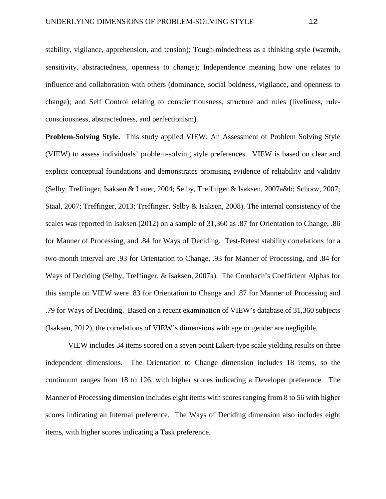stability, vigilance, apprehension, and tension); Tough-mindedness as a thinking style (warmth, sensitivity, abstractedness, openness to change); Independence meaning how one relates to influence and collaboration with others (dominance, social boldness, vigilance, and openness to change); and Self Control relating to conscientiousness, structure and rules (liveliness, ruleconsciousness, abstractedness, and perfectionism).

**Problem-Solving Style.** This study applied VIEW: An Assessment of Problem Solving Style (VIEW) to assess individuals' problem-solving style preferences. VIEW is based on clear and explicit conceptual foundations and demonstrates promising evidence of reliability and validity (Selby, Treffinger, Isaksen & Lauer, 2004; Selby, Treffinger & Isaksen, 2007a&b; Schraw, 2007; Staal, 2007; Treffinger, 2013; Treffinger, Selby & Isaksen, 2008). The internal consistency of the scales was reported in Isaksen (2012) on a sample of 31,360 as .87 for Orientation to Change, .86 for Manner of Processing, and .84 for Ways of Deciding. Test-Retest stability correlations for a two-month interval are .93 for Orientation to Change, .93 for Manner of Processing, and .84 for Ways of Deciding (Selby, Treffinger, & Isaksen, 2007a). The Cronbach's Coefficient Alphas for this sample on VIEW were .83 for Orientation to Change and .87 for Manner of Processing and .79 for Ways of Deciding. Based on a recent examination of VIEW's database of 31,360 subjects (Isaksen, 2012), the correlations of VIEW's dimensions with age or gender are negligible.

VIEW includes 34 items scored on a seven point Likert-type scale yielding results on three independent dimensions. The Orientation to Change dimension includes 18 items, so the continuum ranges from 18 to 126, with higher scores indicating a Developer preference. The Manner of Processing dimension includes eight items with scores ranging from 8 to 56 with higher scores indicating an Internal preference. The Ways of Deciding dimension also includes eight items, with higher scores indicating a Task preference.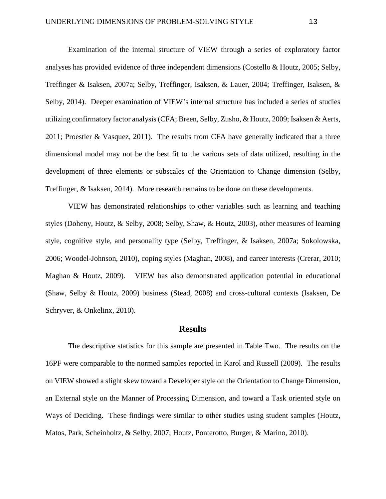Examination of the internal structure of VIEW through a series of exploratory factor analyses has provided evidence of three independent dimensions (Costello & Houtz, 2005; Selby, Treffinger & Isaksen, 2007a; Selby, Treffinger, Isaksen, & Lauer, 2004; Treffinger, Isaksen, & Selby, 2014). Deeper examination of VIEW's internal structure has included a series of studies utilizing confirmatory factor analysis(CFA; Breen, Selby, Zusho, & Houtz, 2009; Isaksen & Aerts, 2011; Proestler & Vasquez, 2011). The results from CFA have generally indicated that a three dimensional model may not be the best fit to the various sets of data utilized, resulting in the development of three elements or subscales of the Orientation to Change dimension (Selby, Treffinger, & Isaksen, 2014). More research remains to be done on these developments.

VIEW has demonstrated relationships to other variables such as learning and teaching styles (Doheny, Houtz, & Selby, 2008; Selby, Shaw, & Houtz, 2003), other measures of learning style, cognitive style, and personality type (Selby, Treffinger, & Isaksen, 2007a; Sokolowska, 2006; Woodel-Johnson, 2010), coping styles (Maghan, 2008), and career interests (Crerar, 2010; Maghan & Houtz, 2009). VIEW has also demonstrated application potential in educational (Shaw, Selby & Houtz, 2009) business (Stead, 2008) and cross-cultural contexts (Isaksen, De Schryver, & Onkelinx, 2010).

### **Results**

The descriptive statistics for this sample are presented in Table Two. The results on the 16PF were comparable to the normed samples reported in Karol and Russell (2009). The results on VIEW showed a slight skew toward a Developer style on the Orientation to Change Dimension, an External style on the Manner of Processing Dimension, and toward a Task oriented style on Ways of Deciding. These findings were similar to other studies using student samples (Houtz, Matos, Park, Scheinholtz, & Selby, 2007; Houtz, Ponterotto, Burger, & Marino, 2010).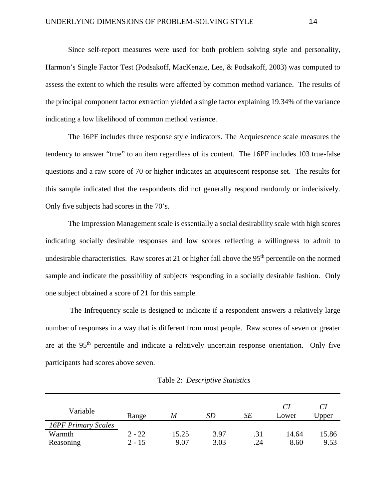Since self-report measures were used for both problem solving style and personality, Harmon's Single Factor Test (Podsakoff, MacKenzie, Lee, & Podsakoff, 2003) was computed to assess the extent to which the results were affected by common method variance. The results of the principal component factor extraction yielded a single factor explaining 19.34% of the variance indicating a low likelihood of common method variance.

The 16PF includes three response style indicators. The Acquiescence scale measures the tendency to answer "true" to an item regardless of its content. The 16PF includes 103 true-false questions and a raw score of 70 or higher indicates an acquiescent response set. The results for this sample indicated that the respondents did not generally respond randomly or indecisively. Only five subjects had scores in the 70's.

The Impression Management scale is essentially a social desirability scale with high scores indicating socially desirable responses and low scores reflecting a willingness to admit to undesirable characteristics. Raw scores at 21 or higher fall above the 95<sup>th</sup> percentile on the normed sample and indicate the possibility of subjects responding in a socially desirable fashion. Only one subject obtained a score of 21 for this sample.

The Infrequency scale is designed to indicate if a respondent answers a relatively large number of responses in a way that is different from most people. Raw scores of seven or greater are at the 95<sup>th</sup> percentile and indicate a relatively uncertain response orientation. Only five participants had scores above seven.

| Variable                   | Range    | M     | SD   | SE  | Lower | Upper |
|----------------------------|----------|-------|------|-----|-------|-------|
| <b>16PF Primary Scales</b> |          |       |      |     |       |       |
| Warmth                     | $2 - 22$ | 15.25 | 3.97 | .31 | 14.64 | 15.86 |
| Reasoning                  | $2 - 15$ | 9.07  | 3.03 | .24 | 8.60  | 9.53  |

Table 2: *Descriptive Statistics*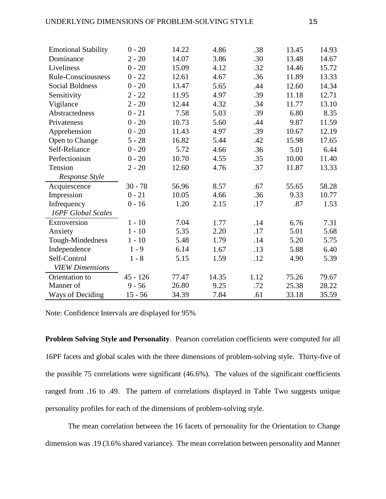| <b>Emotional Stability</b> | $0 - 20$   | 14.22 | 4.86  | .38  | 13.45 | 14.93 |
|----------------------------|------------|-------|-------|------|-------|-------|
| Dominance                  | $2 - 20$   | 14.07 | 3.86  | .30  | 13.48 | 14.67 |
| Liveliness                 | $0 - 20$   | 15.09 | 4.12  | .32  | 14.46 | 15.72 |
| Rule-Consciousness         | $0 - 22$   | 12.61 | 4.67  | .36  | 11.89 | 13.33 |
| Social Boldness            | $0 - 20$   | 13.47 | 5.65  | .44  | 12.60 | 14.34 |
| Sensitivity                | $2 - 22$   | 11.95 | 4.97  | .39  | 11.18 | 12.71 |
| Vigilance                  | $2 - 20$   | 12.44 | 4.32  | .34  | 11.77 | 13.10 |
| Abstractedness             | $0 - 21$   | 7.58  | 5.03  | .39  | 6.80  | 8.35  |
| Privateness                | $0 - 20$   | 10.73 | 5.60  | .44  | 9.87  | 11.59 |
| Apprehension               | $0 - 20$   | 11.43 | 4.97  | .39  | 10.67 | 12.19 |
| Open to Change             | $5 - 28$   | 16.82 | 5.44  | .42  | 15.98 | 17.65 |
| Self-Reliance              | $0 - 20$   | 5.72  | 4.66  | .36  | 5.01  | 6.44  |
| Perfectionism              | $0 - 20$   | 10.70 | 4.55  | .35  | 10.00 | 11.40 |
| Tension                    | $2 - 20$   | 12.60 | 4.76  | .37  | 11.87 | 13.33 |
| Response Style             |            |       |       |      |       |       |
| Acquiescence               | $30 - 78$  | 56.96 | 8.57  | .67  | 55.65 | 58.28 |
| Impression                 | $0 - 21$   | 10.05 | 4.66  | .36  | 9.33  | 10.77 |
| Infrequency                | $0 - 16$   | 1.20  | 2.15  | .17  | .87   | 1.53  |
| 16PF Global Scales         |            |       |       |      |       |       |
| Extroversion               | $1 - 10$   | 7.04  | 1.77  | .14  | 6.76  | 7.31  |
| Anxiety                    | $1 - 10$   | 5.35  | 2.20  | .17  | 5.01  | 5.68  |
| Tough-Mindedness           |            |       |       |      |       |       |
|                            | $1 - 10$   | 5.48  | 1.79  | .14  | 5.20  | 5.75  |
| Independence               | $1 - 9$    | 6.14  | 1.67  | .13  | 5.88  | 6.40  |
| Self-Control               | $1 - 8$    | 5.15  | 1.59  | .12  | 4.90  | 5.39  |
| <b>VIEW Dimensions</b>     |            |       |       |      |       |       |
| Orientation to             | $45 - 126$ | 77.47 | 14.35 | 1.12 | 75.26 | 79.67 |
| Manner of                  | $9 - 56$   | 26.80 | 9.25  | .72  | 25.38 | 28.22 |

Note: Confidence Intervals are displayed for 95%

**Problem Solving Style and Personality**. Pearson correlation coefficients were computed for all 16PF facets and global scales with the three dimensions of problem-solving style. Thirty-five of the possible 75 correlations were significant (46.6%). The values of the significant coefficients ranged from .16 to .49. The pattern of correlations displayed in Table Two suggests unique personality profiles for each of the dimensions of problem-solving style.

The mean correlation between the 16 facets of personality for the Orientation to Change dimension was .19 (3.6% shared variance). The mean correlation between personality and Manner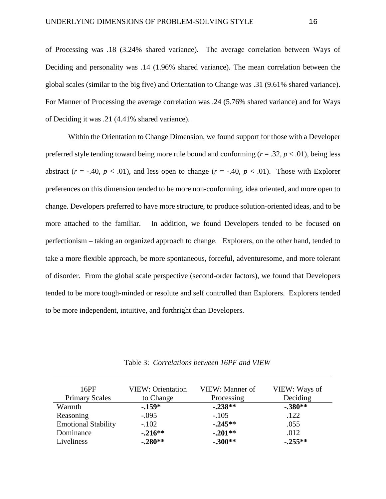of Processing was .18 (3.24% shared variance). The average correlation between Ways of Deciding and personality was .14 (1.96% shared variance). The mean correlation between the global scales (similar to the big five) and Orientation to Change was .31 (9.61% shared variance). For Manner of Processing the average correlation was .24 (5.76% shared variance) and for Ways of Deciding it was .21 (4.41% shared variance).

Within the Orientation to Change Dimension, we found support for those with a Developer preferred style tending toward being more rule bound and conforming (*r* = .32, *p* < .01), being less abstract ( $r = -0.40$ ,  $p < 0.01$ ), and less open to change ( $r = -0.40$ ,  $p < 0.01$ ). Those with Explorer preferences on this dimension tended to be more non-conforming, idea oriented, and more open to change. Developers preferred to have more structure, to produce solution-oriented ideas, and to be more attached to the familiar. In addition, we found Developers tended to be focused on perfectionism – taking an organized approach to change. Explorers, on the other hand, tended to take a more flexible approach, be more spontaneous, forceful, adventuresome, and more tolerant of disorder. From the global scale perspective (second-order factors), we found that Developers tended to be more tough-minded or resolute and self controlled than Explorers. Explorers tended to be more independent, intuitive, and forthright than Developers.

Table 3: *Correlations between 16PF and VIEW*

| 16PF                       | <b>VIEW: Orientation</b> | VIEW: Manner of | VIEW: Ways of |
|----------------------------|--------------------------|-----------------|---------------|
| <b>Primary Scales</b>      | to Change                | Processing      | Deciding      |
| Warmth                     | $-159*$                  | $-.238**$       | $-.380**$     |
| Reasoning                  | $-.095$                  | $-.105$         | .122          |
| <b>Emotional Stability</b> | $-.102$                  | $-.245**$       | .055          |
| Dominance                  | $-.216**$                | $-.201**$       | .012          |
| Liveliness                 | $-.280**$                | $-.300**$       | $-.255**$     |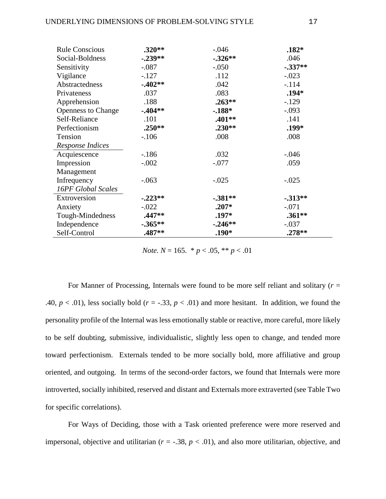| <b>Rule Conscious</b>     | $.320**$   | $-.046$   | $.182*$    |
|---------------------------|------------|-----------|------------|
| Social-Boldness           | $-.239**$  | $-326**$  | .046       |
| Sensitivity               | $-.087$    | $-.050$   | $-.337**$  |
| Vigilance                 | $-127$     | .112      | $-.023$    |
| Abstractedness            | $-0.402**$ | .042      | $-.114$    |
| Privateness               | .037       | .083      | $.194*$    |
| Apprehension              | .188       | $.263**$  | $-.129$    |
| <b>Openness to Change</b> | $-0.404**$ | $-188*$   | $-.093$    |
| Self-Reliance             | .101       | .401**    | .141       |
| Perfectionism             | $.250**$   | $.230**$  | .199*      |
| Tension                   | $-.106$    | .008      | .008       |
| Response Indices          |            |           |            |
| Acquiescence              | $-186$     | .032      | $-.046$    |
| Impression                | $-.002$    | $-.077$   | .059       |
| Management                |            |           |            |
| Infrequency               | $-.063$    | $-.025$   | $-.025$    |
| 16PF Global Scales        |            |           |            |
| Extroversion              | $-.223**$  | $-.381**$ | $-0.313**$ |
| Anxiety                   | $-.022$    | $.207*$   | $-.071$    |
| Tough-Mindedness          | .447**     | $.197*$   | $.361**$   |
| Independence              | $-.365**$  | $-.246**$ | $-.037$    |
| Self-Control              | .487**     | $.190*$   | $.278**$   |

*Note.*  $N = 165$ .  $\frac{*}{p}$   $< 0.05$ ,  $\frac{*}{p}$   $< 0.01$ 

For Manner of Processing, Internals were found to be more self reliant and solitary  $(r =$ .40,  $p < .01$ ), less socially bold ( $r = -.33$ ,  $p < .01$ ) and more hesitant. In addition, we found the personality profile of the Internal was less emotionally stable or reactive, more careful, more likely to be self doubting, submissive, individualistic, slightly less open to change, and tended more toward perfectionism. Externals tended to be more socially bold, more affiliative and group oriented, and outgoing. In terms of the second-order factors, we found that Internals were more introverted, socially inhibited, reserved and distant and Externals more extraverted (see Table Two for specific correlations).

For Ways of Deciding, those with a Task oriented preference were more reserved and impersonal, objective and utilitarian  $(r = -.38, p < .01)$ , and also more utilitarian, objective, and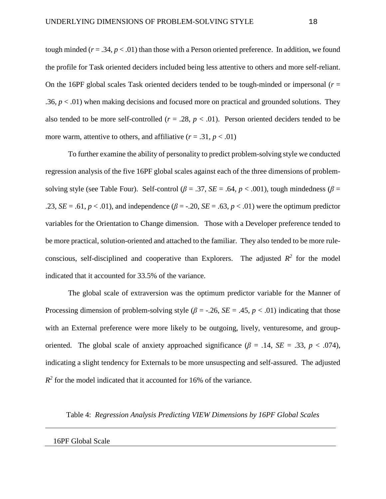tough minded  $(r = .34, p < .01)$  than those with a Person oriented preference. In addition, we found the profile for Task oriented deciders included being less attentive to others and more self-reliant. On the 16PF global scales Task oriented deciders tended to be tough-minded or impersonal  $(r =$ .36,  $p < .01$ ) when making decisions and focused more on practical and grounded solutions. They also tended to be more self-controlled  $(r = .28, p < .01)$ . Person oriented deciders tended to be more warm, attentive to others, and affiliative  $(r = .31, p < .01)$ 

To further examine the ability of personality to predict problem-solving style we conducted regression analysis of the five 16PF global scales against each of the three dimensions of problemsolving style (see Table Four). Self-control ( $\beta = .37$ ,  $SE = .64$ ,  $p < .001$ ), tough mindedness ( $\beta =$ .23, *SE* = .61,  $p < .01$ ), and independence ( $\beta$  = -.20, *SE* = .63,  $p < .01$ ) were the optimum predictor variables for the Orientation to Change dimension. Those with a Developer preference tended to be more practical, solution-oriented and attached to the familiar. They also tended to be more ruleconscious, self-disciplined and cooperative than Explorers. The adjusted  $R^2$  for the model indicated that it accounted for 33.5% of the variance.

The global scale of extraversion was the optimum predictor variable for the Manner of Processing dimension of problem-solving style ( $\beta$  = -.26, *SE* = .45, *p* < .01) indicating that those with an External preference were more likely to be outgoing, lively, venturesome, and grouporiented. The global scale of anxiety approached significance ( $\beta$  = .14, *SE* = .33, *p* < .074), indicating a slight tendency for Externals to be more unsuspecting and self-assured. The adjusted  $R^2$  for the model indicated that it accounted for 16% of the variance.

Table 4: *Regression Analysis Predicting VIEW Dimensions by 16PF Global Scales*

#### 16PF Global Scale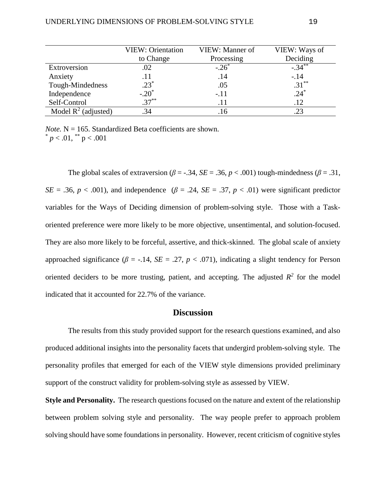|                        | <b>VIEW: Orientation</b> | VIEW: Manner of | VIEW: Ways of |
|------------------------|--------------------------|-----------------|---------------|
|                        | to Change                | Processing      | Deciding      |
| Extroversion           | .02                      | $-.26*$         | $-34**$       |
| Anxiety                | .11                      | .14             | $-.14$        |
| Tough-Mindedness       | $.23*$                   | .05             | $.31***$      |
| Independence           | $-.20^*$                 | $-.11$          | $.24*$        |
| Self-Control           | $.37***$                 | .11             | .12           |
| Model $R^2$ (adjusted) | .34                      | 16              |               |

*Note.*  $N = 165$ . Standardized Beta coefficients are shown.  $p < .01$ , \*\*  $p < .001$ 

The global scales of extraversion ( $\beta$  = -.34, *SE* = .36,  $p < .001$ ) tough-mindedness ( $\beta$  = .31, *SE* = .36, *p* < .001), and independence ( $\beta$  = .24, *SE* = .37, *p* < .01) were significant predictor variables for the Ways of Deciding dimension of problem-solving style. Those with a Taskoriented preference were more likely to be more objective, unsentimental, and solution-focused. They are also more likely to be forceful, assertive, and thick-skinned. The global scale of anxiety approached significance ( $\beta$  = -.14, *SE* = .27,  $p < .071$ ), indicating a slight tendency for Person oriented deciders to be more trusting, patient, and accepting. The adjusted  $R^2$  for the model indicated that it accounted for 22.7% of the variance.

## **Discussion**

The results from this study provided support for the research questions examined, and also produced additional insights into the personality facets that undergird problem-solving style. The personality profiles that emerged for each of the VIEW style dimensions provided preliminary support of the construct validity for problem-solving style as assessed by VIEW.

**Style and Personality.** The research questions focused on the nature and extent of the relationship between problem solving style and personality. The way people prefer to approach problem solving should have some foundations in personality. However, recent criticism of cognitive styles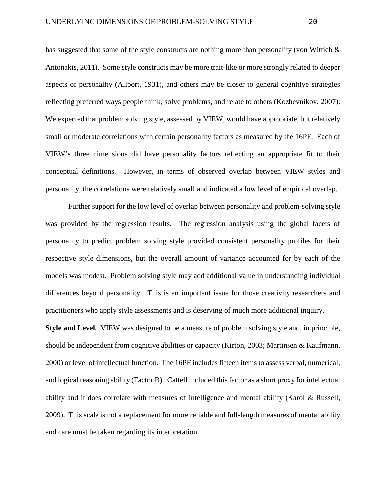has suggested that some of the style constructs are nothing more than personality (von Wittich  $\&$ Antonakis, 2011). Some style constructs may be more trait-like or more strongly related to deeper aspects of personality (Allport, 1931), and others may be closer to general cognitive strategies reflecting preferred ways people think, solve problems, and relate to others (Kozhevnikov, 2007). We expected that problem solving style, assessed by VIEW, would have appropriate, but relatively small or moderate correlations with certain personality factors as measured by the 16PF. Each of VIEW's three dimensions did have personality factors reflecting an appropriate fit to their conceptual definitions. However, in terms of observed overlap between VIEW styles and personality, the correlations were relatively small and indicated a low level of empirical overlap.

Further support for the low level of overlap between personality and problem-solving style was provided by the regression results. The regression analysis using the global facets of personality to predict problem solving style provided consistent personality profiles for their respective style dimensions, but the overall amount of variance accounted for by each of the models was modest. Problem solving style may add additional value in understanding individual differences beyond personality. This is an important issue for those creativity researchers and practitioners who apply style assessments and is deserving of much more additional inquiry.

**Style and Level.** VIEW was designed to be a measure of problem solving style and, in principle, should be independent from cognitive abilities or capacity (Kirton, 2003; Martinsen & Kaufmann, 2000) or level of intellectual function. The 16PF includes fifteen items to assess verbal, numerical, and logical reasoning ability (Factor B). Cattell included this factor as a short proxy for intellectual ability and it does correlate with measures of intelligence and mental ability (Karol & Russell, 2009). This scale is not a replacement for more reliable and full-length measures of mental ability and care must be taken regarding its interpretation.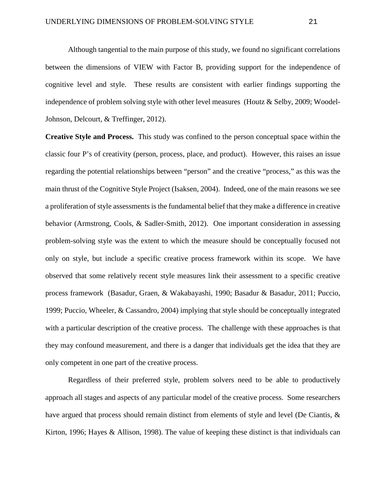Although tangential to the main purpose of this study, we found no significant correlations between the dimensions of VIEW with Factor B, providing support for the independence of cognitive level and style. These results are consistent with earlier findings supporting the independence of problem solving style with other level measures (Houtz & Selby, 2009; Woodel-Johnson, Delcourt, & Treffinger, 2012).

**Creative Style and Process.** This study was confined to the person conceptual space within the classic four P's of creativity (person, process, place, and product). However, this raises an issue regarding the potential relationships between "person" and the creative "process," as this was the main thrust of the Cognitive Style Project (Isaksen, 2004). Indeed, one of the main reasons we see a proliferation of style assessments is the fundamental belief that they make a difference in creative behavior (Armstrong, Cools, & Sadler-Smith, 2012). One important consideration in assessing problem-solving style was the extent to which the measure should be conceptually focused not only on style, but include a specific creative process framework within its scope. We have observed that some relatively recent style measures link their assessment to a specific creative process framework (Basadur, Graen, & Wakabayashi, 1990; Basadur & Basadur, 2011; Puccio, 1999; Puccio, Wheeler, & Cassandro, 2004) implying that style should be conceptually integrated with a particular description of the creative process. The challenge with these approaches is that they may confound measurement, and there is a danger that individuals get the idea that they are only competent in one part of the creative process.

Regardless of their preferred style, problem solvers need to be able to productively approach all stages and aspects of any particular model of the creative process. Some researchers have argued that process should remain distinct from elements of style and level (De Ciantis, & Kirton, 1996; Hayes  $\&$  Allison, 1998). The value of keeping these distinct is that individuals can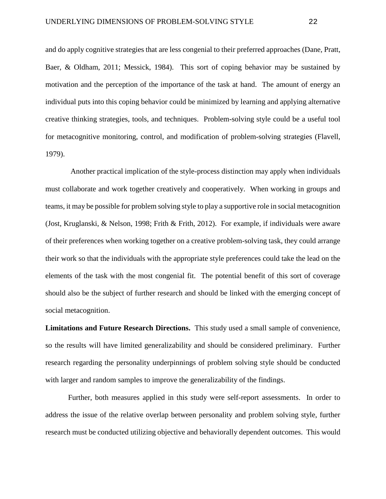and do apply cognitive strategies that are less congenial to their preferred approaches (Dane, Pratt, Baer, & Oldham, 2011; Messick, 1984). This sort of coping behavior may be sustained by motivation and the perception of the importance of the task at hand. The amount of energy an individual puts into this coping behavior could be minimized by learning and applying alternative creative thinking strategies, tools, and techniques. Problem-solving style could be a useful tool for metacognitive monitoring, control, and modification of problem-solving strategies (Flavell, 1979).

Another practical implication of the style-process distinction may apply when individuals must collaborate and work together creatively and cooperatively. When working in groups and teams, it may be possible for problem solving style to play a supportive role in social metacognition (Jost, Kruglanski, & Nelson, 1998; Frith & Frith, 2012). For example, if individuals were aware of their preferences when working together on a creative problem-solving task, they could arrange their work so that the individuals with the appropriate style preferences could take the lead on the elements of the task with the most congenial fit. The potential benefit of this sort of coverage should also be the subject of further research and should be linked with the emerging concept of social metacognition.

**Limitations and Future Research Directions.** This study used a small sample of convenience, so the results will have limited generalizability and should be considered preliminary. Further research regarding the personality underpinnings of problem solving style should be conducted with larger and random samples to improve the generalizability of the findings.

Further, both measures applied in this study were self-report assessments. In order to address the issue of the relative overlap between personality and problem solving style, further research must be conducted utilizing objective and behaviorally dependent outcomes. This would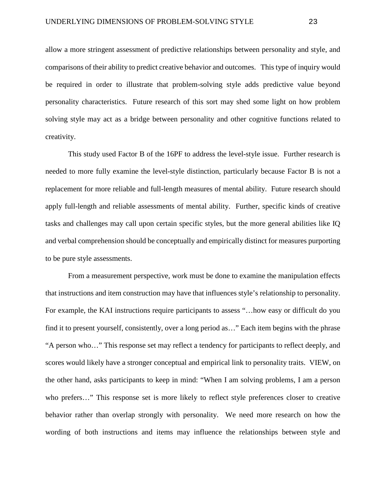allow a more stringent assessment of predictive relationships between personality and style, and comparisons of their ability to predict creative behavior and outcomes. This type of inquiry would be required in order to illustrate that problem-solving style adds predictive value beyond personality characteristics. Future research of this sort may shed some light on how problem solving style may act as a bridge between personality and other cognitive functions related to creativity.

This study used Factor B of the 16PF to address the level-style issue. Further research is needed to more fully examine the level-style distinction, particularly because Factor B is not a replacement for more reliable and full-length measures of mental ability. Future research should apply full-length and reliable assessments of mental ability. Further, specific kinds of creative tasks and challenges may call upon certain specific styles, but the more general abilities like IQ and verbal comprehension should be conceptually and empirically distinct for measures purporting to be pure style assessments.

From a measurement perspective, work must be done to examine the manipulation effects that instructions and item construction may have that influences style's relationship to personality. For example, the KAI instructions require participants to assess "…how easy or difficult do you find it to present yourself, consistently, over a long period as…" Each item begins with the phrase "A person who…" This response set may reflect a tendency for participants to reflect deeply, and scores would likely have a stronger conceptual and empirical link to personality traits. VIEW, on the other hand, asks participants to keep in mind: "When I am solving problems, I am a person who prefers…" This response set is more likely to reflect style preferences closer to creative behavior rather than overlap strongly with personality. We need more research on how the wording of both instructions and items may influence the relationships between style and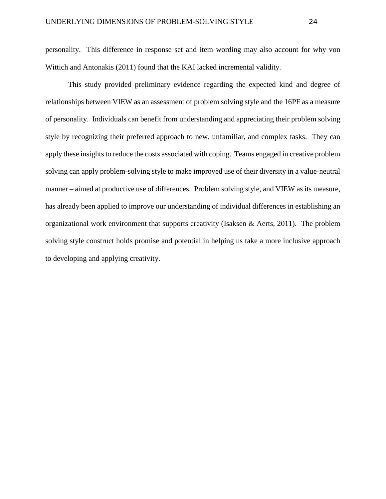personality. This difference in response set and item wording may also account for why von Wittich and Antonakis (2011) found that the KAI lacked incremental validity.

This study provided preliminary evidence regarding the expected kind and degree of relationships between VIEW as an assessment of problem solving style and the 16PF as a measure of personality. Individuals can benefit from understanding and appreciating their problem solving style by recognizing their preferred approach to new, unfamiliar, and complex tasks. They can apply these insights to reduce the costs associated with coping. Teams engaged in creative problem solving can apply problem-solving style to make improved use of their diversity in a value-neutral manner – aimed at productive use of differences. Problem solving style, and VIEW as its measure, has already been applied to improve our understanding of individual differences in establishing an organizational work environment that supports creativity (Isaksen & Aerts, 2011). The problem solving style construct holds promise and potential in helping us take a more inclusive approach to developing and applying creativity.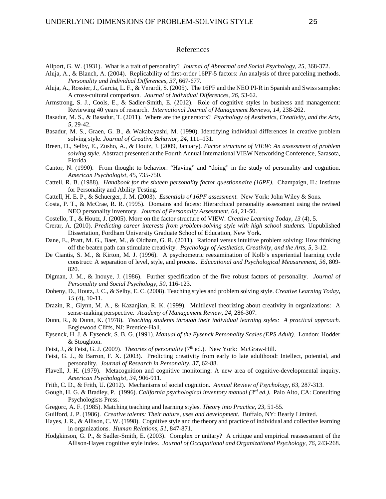### References

- Allport, G. W. (1931). What is a trait of personality? *Journal of Abnormal and Social Psychology, 25,* 368-372.
- Aluja, A., & Blanch, A. (2004). Replicability of first-order 16PF-5 factors: An analysis of three parceling methods. *Personality and Individual Differences, 37,* 667-677.
- Aluja, A., Rossier, J., Garcia, L. F., & Verardi, S. (2005). The 16PF and the NEO PI-R in Spanish and Swiss samples: A cross-cultural comparison. *Journal of Individual Differences, 26,* 53-62.
- Armstrong, S. J., Cools, E., & Sadler-Smith, E. (2012). Role of cognitive styles in business and management: Reviewing 40 years of research. *International Journal of Management Reviews, 14,* 238-262.
- Basadur, M. S., & Basadur, T. (2011). Where are the generators? *Psychology of Aesthetics, Creativity, and the Arts, 5,* 29-42.
- Basadur, M. S., Graen, G. B., & Wakabayashi, M. (1990). Identifying individual differences in creative problem solving style. *Journal of Creative Behavior, 24,* 111–131.
- Breen, D., Selby, E., Zusho, A., & Houtz, J. (2009, January). *Factor structure of VIEW: An assessment of problem solving style.* Abstract presented at the Fourth Annual International VIEW Networking Conference, Sarasota, Florida.
- Cantor, N. (1990). From thought to behavior: "Having" and "doing" in the study of personality and cognition. *American Psychologist, 45,* 735-750.
- Cattell, R. B. (1988). *Handbook for the sixteen personality factor questionnaire (16PF).* Champaign, IL: Institute for Personality and Ability Testing.
- Cattell, H. E. P., & Schuerger, J. M. (2003). *Essentials of 16PF assessment.* New York: John Wiley & Sons.
- Costa, P. T., & McCrae, R. R. (1995). Domains and facets: Hierarchical personality assessment using the revised NEO personality inventory. *Journal of Personality Assessment, 64,* 21-50.
- Costello, T., & Houtz, J. (2005). More on the factor structure of VIEW. *Creative Learning Today, 13* (4), 5.
- Crerar, A. (2010). *Predicting career interests from problem-solving style with high school students.* Unpublished Dissertation, Fordham University Graduate School of Education, New York.
- Dane, E., Pratt, M. G., Baer, M., & Oldham, G. R. (2011). Rational versus intuitive problem solving: How thinking off the beaten path can stimulate creativity. *Psychology of Aesthetics, Creativity, and the Arts, 5,* 3-12.
- De Ciantis, S. M., & Kirton, M. J. (1996). A psychometric reexamination of Kolb's experiential learning cycle construct: A separation of level, style, and process. *Educational and Psychological Measurement, 56,* 809- 820.
- Digman, J. M., & Inouye, J. (1986). Further specification of the five robust factors of personality. *Journal of Personality and Social Psychology, 50,* 116-123.
- Doheny, D., Houtz, J. C., & Selby, E. C. (2008). Teaching styles and problem solving style. *Creative Learning Today, 15* (4), 10-11.
- Drazin, R., Glynn, M. A., & Kazanjian, R. K. (1999). Multilevel theorizing about creativity in organizations: A sense-making perspective. *Academy of Management Review, 24,* 286-307.
- Dunn, R., & Dunn, K. (1978). *Teaching students through their individual learning styles: A practical approach.* Englewood Cliffs, NJ: Prentice-Hall.
- Eysenck, H. J. & Eysenck, S. B. G. (1991). *Manual of the Eysenck Personality Scales (EPS Adult).* London: Hodder & Stoughton.
- Feist, J., & Feist, G. J. (2009). *Theories of personality* (7<sup>th</sup> ed.). New York: McGraw-Hill.
- Feist, G. J., & Barron, F. X. (2003). Predicting creativity from early to late adulthood: Intellect, potential, and personality. *Journal of Research in Personality, 37,* 62-88.
- Flavell, J. H. (1979). Metacognition and cognitive monitoring: A new area of cognitive-developmental inquiry. *American Psychologist, 34,* 906-911.
- Frith, C. D., & Frith, U. (2012). Mechanisms of social cognition. *Annual Review of Psychology, 63,* 287-313.
- Gough, H. G. & Bradley, P. (1996). *California psychological inventory manual (3rd ed.).* Palo Alto, CA: Consulting Psychologists Press.
- Gregorc, A. F. (1985). Matching teaching and learning styles. *Theory into Practice, 23,* 51-55.
- Guilford, J. P. (1986). *Creative talents: Their nature, uses and development.* Buffalo, NY: Bearly Limited.
- Hayes, J. R., & Allison, C. W. (1998). Cognitive style and the theory and practice of individual and collective learning in organizations. *Human Relations, 51,* 847-871.
- Hodgkinson, G. P., & Sadler-Smith, E. (2003). Complex or unitary? A critique and empirical reassessment of the Allison-Hayes cognitive style index. *Journal of Occupational and Organizational Psychology, 76,* 243-268.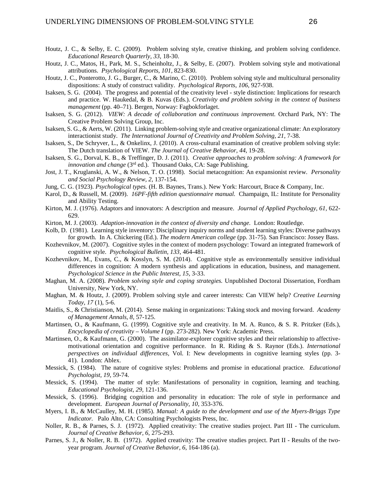- Houtz, J. C., & Selby, E. C. (2009). Problem solving style, creative thinking, and problem solving confidence. *Educational Research Quarterly, 33,* 18-30.
- Houtz, J. C., Matos, H., Park, M. S., Scheinholtz, J., & Selby, E. (2007). Problem solving style and motivational attributions. *Psychological Reports, 101,* 823-830.
- Houtz, J. C., Ponterotto, J. G., Burger, C., & Marino, C. (2010). Problem solving style and multicultural personality dispositions: A study of construct validity. *Psychological Reports, 106,* 927-938.
- Isaksen, S. G. (2004). The progress and potential of the creativity level style distinction: Implications for research and practice. W. Haukedal, & B. Kuvas (Eds.). *Creativity and problem solving in the context of business management* (pp. 40–71). Bergen, Norway: Fagbokforlaget.
- Isaksen, S. G. (2012). *VIEW: A decade of collaboration and continuous improvement.* Orchard Park, NY: The Creative Problem Solving Group, Inc.
- Isaksen, S. G., & Aerts, W. (2011). Linking problem-solving style and creative organizational climate: An exploratory interactionist study. *The International Journal of Creativity and Problem Solving, 21, 7-38.*
- Isaksen, S., De Schryver, L., & Onkelinx, J. (2010). A cross-cultural examination of creative problem solving style: The Dutch translation of VIEW. *The Journal of Creative Behavior, 44*, 19-28.
- Isaksen, S. G., Dorval, K. B., & Treffinger, D. J. (2011). *Creative approaches to problem solving: A framework for innovation and change* (3<sup>rd</sup> ed.). Thousand Oaks, CA: Sage Publishing.
- Jost, J. T., Kruglanski, A. W., & Nelson, T. O. (1998). Social metacognition: An expansionist review. *Personality and Social Psychology Review, 2,* 137-154.
- Jung, C. G. (1923). *Psychological types.* (H. B. Baynes, Trans.). New York: Harcourt, Brace & Company, Inc.
- Karol, D., & Russell, M. (2009). *16PF-fifth edition questionnaire manual.* Champaign, IL: Institute for Personality and Ability Testing.
- Kirton, M. J. (1976). Adaptors and innovators: A description and measure. *Journal of Applied Psychology, 61,* 622- 629.
- Kirton, M. J. (2003). *Adaption-innovation in the context of diversity and change.* London: Routledge.
- Kolb, D. (1981). Learning style inventory: Disciplinary inquiry norms and student learning styles: Diverse pathways for growth. In A. Chickering (Ed.). *The modern American college* (pp. 31-75)*.* San Francisco: Jossey Bass.
- Kozhevnikov, M. (2007). Cognitive styles in the context of modern psychology: Toward an integrated framework of cognitive style. *Psychological Bulletin, 133,* 464-481.
- Kozhevnikov, M., Evans, C., & Kosslyn, S. M. (2014). Cognitive style as environmentally sensitive individual differences in cognition: A modern synthesis and applications in education, business, and management. *Psychological Science in the Public Interest, 15,* 3-33.
- Maghan, M. A. (2008). *Problem solving style and coping strategies.* Unpublished Doctoral Dissertation, Fordham University, New York, NY.
- Maghan, M. & Houtz, J. (2009). Problem solving style and career interests: Can VIEW help? *Creative Learning Today, 17* (1), 5-6.
- Maitlis, S., & Christianson, M. (2014). Sense making in organizations: Taking stock and moving forward. *Academy of Management Annals, 8,* 57-125.
- Martinsen, O., & Kaufmann, G. (1999). Cognitive style and creativity. In M. A. Runco, & S. R. Pritzker (Eds.), *Encyclopedia of creativity – Volume I* (pp. 273-282). New York: Academic Press.
- Martinsen, O., & Kaufmann, G. (2000). The assimilator-explorer cognitive styles and their relationship to affectivemotivational orientation and cognitive performance. In R. Riding & S. Raynor (Eds.). *International perspectives on individual differences,* Vol. I: New developments in cognitive learning styles (pp. 3- 41). London: Ablex.
- Messick, S. (1984). The nature of cognitive styles: Problems and promise in educational practice. *Educational Psychologist, 19,* 59-74.
- Messick, S. (1994). The matter of style: Manifestations of personality in cognition, learning and teaching. *Educational Psychologist, 29,* 121-136.
- Messick, S. (1996). Bridging cognition and personality in education: The role of style in performance and development. *European Journal of Personality, 10,* 353-376.
- Myers, I. B., & McCaulley, M. H. (1985). *Manual: A guide to the development and use of the Myers-Briggs Type Indicator.* Palo Alto, CA: Consulting Psychologists Press, Inc.
- Noller, R. B., & Parnes, S. J. (1972). Applied creativity: The creative studies project. Part III The curriculum. *Journal of Creative Behavior, 6*, 275-293.
- Parnes, S. J., & Noller, R. B. (1972). Applied creativity: The creative studies project. Part II Results of the twoyear program*. Journal of Creative Behavior, 6*, 164-186 (a).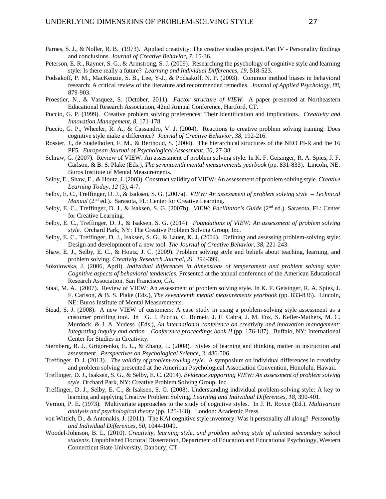- Parnes, S. J., & Noller, R. B. (1973). Applied creativity: The creative studies project. Part IV Personality findings and conclusions*. Journal of Creative Behavior, 7*, 15-36.
- Peterson, E. R., Rayner, S. G., & Armstrong, S. J. (2009). Researching the psychology of cognitive style and learning style: Is there really a future? *Learning and Individual Differences, 19,* 518-523.
- Podsakoff, P. M., MacKenzie, S. B., Lee, Y-J., & Podsakoff, N. P. (2003). Common method biases in behavioral research: A critical review of the literature and recommended remedies. *Journal of Applied Psychology, 88,* 879-903.
- Proestler, N., & Vasquez, S. (October, 2011). *Factor structure of VIEW.* A paper presented at Northeastern Educational Research Association, 42nd Annual Conference, Hartford, CT.
- Puccio, G. P. (1999). Creative problem solving preferences: Their identification and implications. *Creativity and Innovation Management, 8,* 171-178.
- Puccio, G. P., Wheeler, R. A., & Cassandro, V. J. (2004). Reactions to creative problem solving training: Does cognitive style make a difference? *Journal of Creative Behavior, 38,* 192-216.
- Rossier, J., de Stadelhofen, F. M., & Berthoud, S. (2004). The hierarchical structures of the NEO PI-R and the 16 PF5. *European Journal of Psychological Assessment, 20,* 27-38.
- Schraw, G. (2007). Review of VIEW: An assessment of problem solving style. In K. F. Geisinger, R. A. Spies, J. F. Carlson, & B. S. Plake (Eds.), *The seventeenth mental measurements yearbook* (pp. 831-833). Lincoln, NE: Buros Institute of Mental Measurements.
- Selby, E., Shaw, E., & Houtz, J. (2003). Construct validity of VIEW: An assessment of problem solving style. *Creative Learning Today, 12* (3), 4-7.
- Selby, E. C., Treffinger, D. J., & Isaksen, S. G. (2007a). *VIEW: An assessment of problem solving style – Technical Manual* (2<sup>nd</sup> ed.). Sarasota, FL: Center for Creative Learning.
- Selby, E. C., Treffinger, D. J., & Isaksen, S. G. (2007b). *VIEW: Facilitator's Guide* (2nd ed.). Sarasota, FL: Center for Creative Learning.
- Selby, E. C., Treffinger, D. J., & Isaksen, S. G. (2014). *Foundations of VIEW: An assessment of problem solving style.* Orchard Park, NY: The Creative Problem Solving Group, Inc.
- Selby, E. C., Treffinger, D. J., Isaksen, S. G., & Lauer, K. J. (2004). Defining and assessing problem-solving style: Design and development of a new tool. *The Journal of Creative Behavior, 38,* 221-243.
- Shaw, E. J., Selby, E. C., & Houtz, J. C. (2009). Problem solving style and beliefs about teaching, learning, and problem solving. *Creativity Research Journal, 21*, 394-399.
- Sokolowska, J. (2006, April). *Individual differences in dimensions of temperament and problem solving style: Cognitive aspects of behavioral tendencies.* Presented at the annual conference of the American Educational Research Association. San Francisco, CA.
- Staal, M. A. (2007). Review of VIEW: An assessment of problem solving style. In K. F. Geisinger, R. A. Spies, J. F. Carlson, & B. S. Plake (Eds.), *The seventeenth mental measurements yearbook* (pp. 833-836). Lincoln, NE: Buros Institute of Mental Measurements.
- Stead, S. J. (2008). A new VIEW of customers: A case study in using a problem-solving style assessment as a customer profiling tool. In G. J. Puccio, C. Burnett, J. F. Cabra, J. M. Fox, S. Keller-Mathers, M. C. Murdock, & J. A. Yudess (Eds.), *An international conference on creativity and innovation management: Integrating inquiry and action – Conference proceedings book II* (pp. 176-187). Buffalo, NY: International Center for Studies in Creativity.
- Sternberg, R. J., Grigorenko, E. L., & Zhang, L. (2008). Styles of learning and thinking matter in instruction and assessment. *Perspectives on Psychological Science, 3,* 486-506.
- Treffinger, D. J. (2013). *The validity of problem-solving style.* A symposium on individual differences in creativity and problem solving presented at the American Psychological Association Convention, Honolulu, Hawaii.
- Treffinger, D. J., Isaksen, S. G., & Selby, E. C. (2014). *Evidence supporting VIEW: An assessment of problem solving style.* Orchard Park, NY: Creative Problem Solving Group, Inc.
- Treffinger, D. J., Selby, E. C., & Isaksen, S. G. (2008). Understanding individual problem-solving style: A key to learning and applying Creative Problem Solving. *Learning and Individual Differences, 18,* 390-401.
- Vernon, P. E. (1973). Multivariate approaches to the study of cognitive styles. In J. R. Royce (Ed.). *Multivariate analysis and psychological theory* (pp. 125-148). London: Academic Press.
- von Wittich, D., & Antonakis, J. (2011). The KAI cognitive style inventory: Was it personality all along? *Personality and Individual Differences, 50,* 1044-1049.
- Woodel-Johnson, B. L. (2010). *Creativity, learning style, and problem solving style of talented secondary school students.* Unpublished Doctoral Dissertation, Department of Education and Educational Psychology, Western Connecticut State University. Danbury, CT.